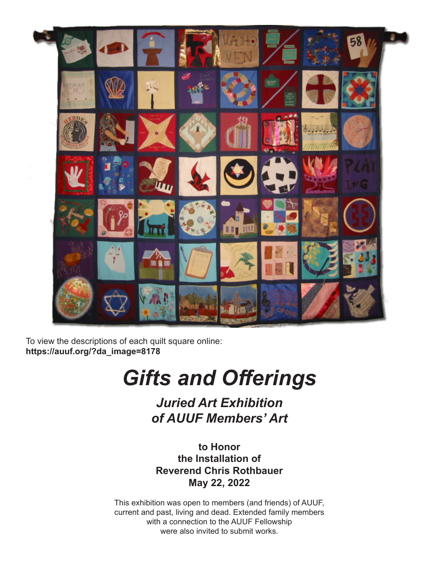

To view the descriptions of each quilt square online: **https://auuf.org/?da\_image=8178**

# *Gifts and Offerings*

*Juried Art Exhibition of AUUF Members' Art* 

**to Honor the Installation of Reverend Chris Rothbauer May 22, 2022**

This exhibition was open to members (and friends) of AUUF, current and past, living and dead. Extended family members with a connection to the AUUF Fellowship were also invited to submit works.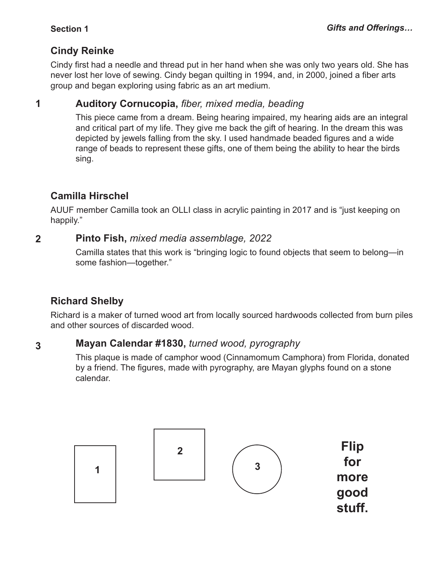### **Cindy Reinke**

Cindy first had a needle and thread put in her hand when she was only two years old. She has never lost her love of sewing. Cindy began quilting in 1994, and, in 2000, joined a fiber arts group and began exploring using fabric as an art medium.

#### **Auditory Cornucopia,** *fiber, mixed media, beading* **1**

This piece came from a dream. Being hearing impaired, my hearing aids are an integral and critical part of my life. They give me back the gift of hearing. In the dream this was depicted by jewels falling from the sky. I used handmade beaded figures and a wide range of beads to represent these gifts, one of them being the ability to hear the birds sing.

### **Camilla Hirschel**

AUUF member Camilla took an OLLI class in acrylic painting in 2017 and is "just keeping on happily."

#### **Pinto Fish,** *mixed media assemblage, 2022* **2**

Camilla states that this work is "bringing logic to found objects that seem to belong—in some fashion—together."

## **Richard Shelby**

Richard is a maker of turned wood art from locally sourced hardwoods collected from burn piles and other sources of discarded wood.

#### **Mayan Calendar #1830,** *turned wood, pyrography* **3**

This plaque is made of camphor wood (Cinnamomum Camphora) from Florida, donated by a friend. The figures, made with pyrography, are Mayan glyphs found on a stone calendar.

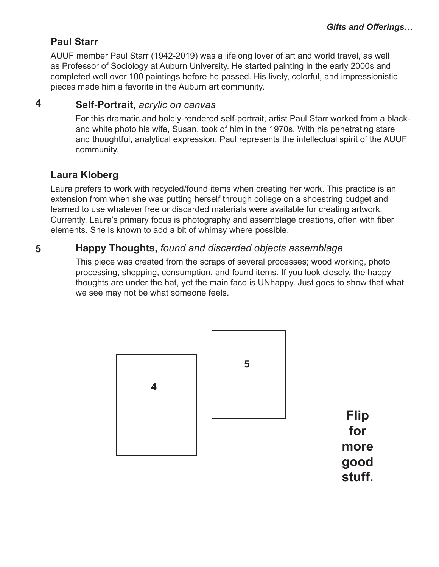### **Paul Starr**

AUUF member Paul Starr (1942-2019) was a lifelong lover of art and world travel, as well as Professor of Sociology at Auburn University. He started painting in the early 2000s and completed well over 100 paintings before he passed. His lively, colorful, and impressionistic pieces made him a favorite in the Auburn art community.

#### **Self-Portrait,** *acrylic on canvas* **4**

For this dramatic and boldly-rendered self-portrait, artist Paul Starr worked from a blackand white photo his wife, Susan, took of him in the 1970s. With his penetrating stare and thoughtful, analytical expression, Paul represents the intellectual spirit of the AUUF community.

### **Laura Kloberg**

Laura prefers to work with recycled/found items when creating her work. This practice is an extension from when she was putting herself through college on a shoestring budget and learned to use whatever free or discarded materials were available for creating artwork. Currently, Laura's primary focus is photography and assemblage creations, often with fiber elements. She is known to add a bit of whimsy where possible.

#### **Happy Thoughts,** *found and discarded objects assemblage* **5**

This piece was created from the scraps of several processes; wood working, photo processing, shopping, consumption, and found items. If you look closely, the happy thoughts are under the hat, yet the main face is UNhappy. Just goes to show that what we see may not be what someone feels.

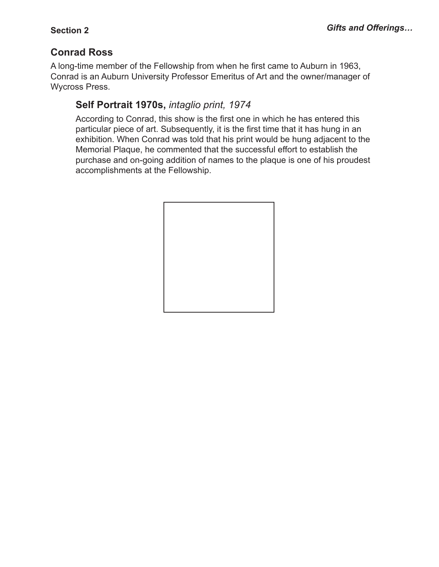### **Conrad Ross**

A long-time member of the Fellowship from when he first came to Auburn in 1963, Conrad is an Auburn University Professor Emeritus of Art and the owner/manager of Wycross Press.

### **Self Portrait 1970s,** *intaglio print, 1974*

According to Conrad, this show is the first one in which he has entered this particular piece of art. Subsequently, it is the first time that it has hung in an exhibition. When Conrad was told that his print would be hung adjacent to the Memorial Plaque, he commented that the successful effort to establish the purchase and on-going addition of names to the plaque is one of his proudest accomplishments at the Fellowship.

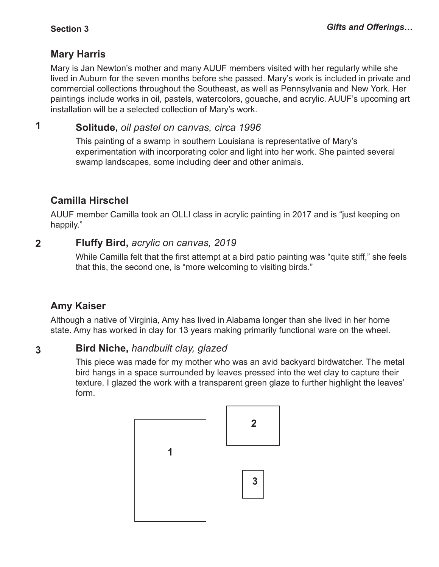### **Mary Harris**

Mary is Jan Newton's mother and many AUUF members visited with her regularly while she lived in Auburn for the seven months before she passed. Mary's work is included in private and commercial collections throughout the Southeast, as well as Pennsylvania and New York. Her paintings include works in oil, pastels, watercolors, gouache, and acrylic. AUUF's upcoming art installation will be a selected collection of Mary's work.

**Solitude,** *oil pastel on canvas, circa 1996* **1**

> This painting of a swamp in southern Louisiana is representative of Mary's experimentation with incorporating color and light into her work. She painted several swamp landscapes, some including deer and other animals.

### **Camilla Hirschel**

AUUF member Camilla took an OLLI class in acrylic painting in 2017 and is "just keeping on happily."

#### **Fluffy Bird,** *acrylic on canvas, 2019* **2**

While Camilla felt that the first attempt at a bird patio painting was "quite stiff," she feels that this, the second one, is "more welcoming to visiting birds."

### **Amy Kaiser**

Although a native of Virginia, Amy has lived in Alabama longer than she lived in her home state. Amy has worked in clay for 13 years making primarily functional ware on the wheel.

#### **Bird Niche,** *handbuilt clay, glazed* **3**

This piece was made for my mother who was an avid backyard birdwatcher. The metal bird hangs in a space surrounded by leaves pressed into the wet clay to capture their texture. I glazed the work with a transparent green glaze to further highlight the leaves' form.

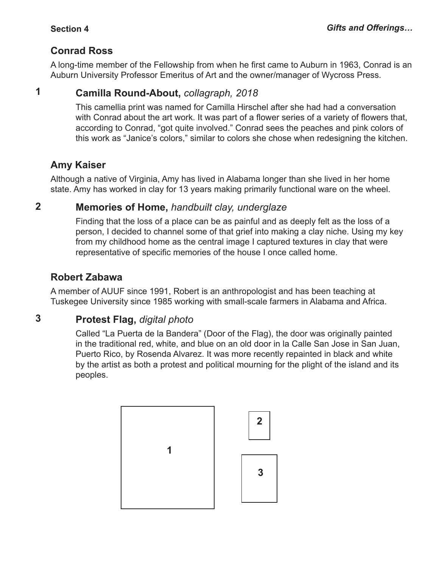### **Conrad Ross**

A long-time member of the Fellowship from when he first came to Auburn in 1963, Conrad is an Auburn University Professor Emeritus of Art and the owner/manager of Wycross Press.

#### **Camilla Round-About,** *collagraph, 2018* **1**

This camellia print was named for Camilla Hirschel after she had had a conversation with Conrad about the art work. It was part of a flower series of a variety of flowers that, according to Conrad, "got quite involved." Conrad sees the peaches and pink colors of this work as "Janice's colors," similar to colors she chose when redesigning the kitchen.

### **Amy Kaiser**

Although a native of Virginia, Amy has lived in Alabama longer than she lived in her home state. Amy has worked in clay for 13 years making primarily functional ware on the wheel.

#### **Memories of Home,** *handbuilt clay, underglaze* **2**

Finding that the loss of a place can be as painful and as deeply felt as the loss of a person, I decided to channel some of that grief into making a clay niche. Using my key from my childhood home as the central image I captured textures in clay that were representative of specific memories of the house I once called home.

### **Robert Zabawa**

A member of AUUF since 1991, Robert is an anthropologist and has been teaching at Tuskegee University since 1985 working with small-scale farmers in Alabama and Africa.

#### **Protest Flag,** *digital photo* **3**

Called "La Puerta de la Bandera" (Door of the Flag), the door was originally painted in the traditional red, white, and blue on an old door in la Calle San Jose in San Juan, Puerto Rico, by Rosenda Alvarez. It was more recently repainted in black and white by the artist as both a protest and political mourning for the plight of the island and its peoples.

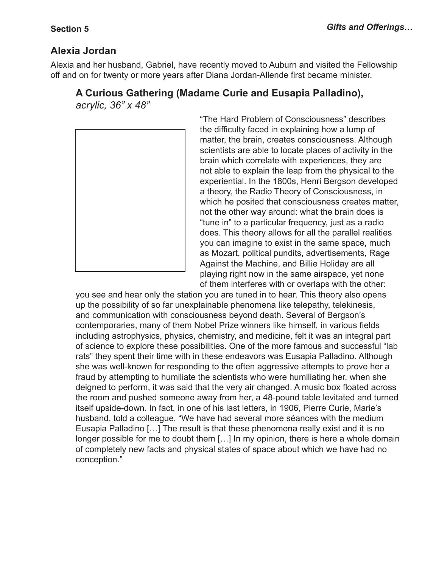### **Alexia Jordan**

Alexia and her husband, Gabriel, have recently moved to Auburn and visited the Fellowship off and on for twenty or more years after Diana Jordan-Allende first became minister.

### **A Curious Gathering (Madame Curie and Eusapia Palladino),**  *acrylic, 36" x 48"*



"The Hard Problem of Consciousness" describes the difficulty faced in explaining how a lump of matter, the brain, creates consciousness. Although scientists are able to locate places of activity in the brain which correlate with experiences, they are not able to explain the leap from the physical to the experiential. In the 1800s, Henri Bergson developed a theory, the Radio Theory of Consciousness, in which he posited that consciousness creates matter, not the other way around: what the brain does is "tune in" to a particular frequency, just as a radio does. This theory allows for all the parallel realities you can imagine to exist in the same space, much as Mozart, political pundits, advertisements, Rage Against the Machine, and Billie Holiday are all playing right now in the same airspace, yet none of them interferes with or overlaps with the other:

you see and hear only the station you are tuned in to hear. This theory also opens up the possibility of so far unexplainable phenomena like telepathy, telekinesis, and communication with consciousness beyond death. Several of Bergson's contemporaries, many of them Nobel Prize winners like himself, in various fields including astrophysics, physics, chemistry, and medicine, felt it was an integral part of science to explore these possibilities. One of the more famous and successful "lab rats" they spent their time with in these endeavors was Eusapia Palladino. Although she was well-known for responding to the often aggressive attempts to prove her a fraud by attempting to humiliate the scientists who were humiliating her, when she deigned to perform, it was said that the very air changed. A music box floated across the room and pushed someone away from her, a 48-pound table levitated and turned itself upside-down. In fact, in one of his last letters, in 1906, Pierre Curie, Marie's husband, told a colleague, "We have had several more séances with the medium Eusapia Palladino […] The result is that these phenomena really exist and it is no longer possible for me to doubt them […] In my opinion, there is here a whole domain of completely new facts and physical states of space about which we have had no conception."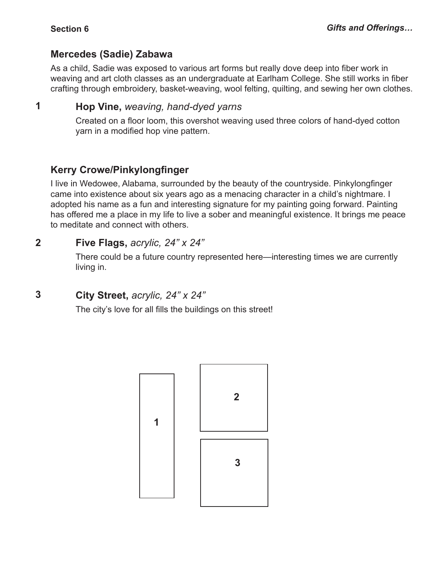**1**

### **Mercedes (Sadie) Zabawa**

As a child, Sadie was exposed to various art forms but really dove deep into fiber work in weaving and art cloth classes as an undergraduate at Earlham College. She still works in fiber crafting through embroidery, basket-weaving, wool felting, quilting, and sewing her own clothes.

### **Hop Vine,** *weaving, hand-dyed yarns*

Created on a floor loom, this overshot weaving used three colors of hand-dyed cotton yarn in a modified hop vine pattern.

### **Kerry Crowe/Pinkylongfinger**

I live in Wedowee, Alabama, surrounded by the beauty of the countryside. Pinkylongfinger came into existence about six years ago as a menacing character in a child's nightmare. I adopted his name as a fun and interesting signature for my painting going forward. Painting has offered me a place in my life to live a sober and meaningful existence. It brings me peace to meditate and connect with others.

#### **Five Flags,** *acrylic, 24" x 24"* **2**

There could be a future country represented here—interesting times we are currently living in.

#### **City Street,** *acrylic, 24" x 24"* **3**

The city's love for all fills the buildings on this street!

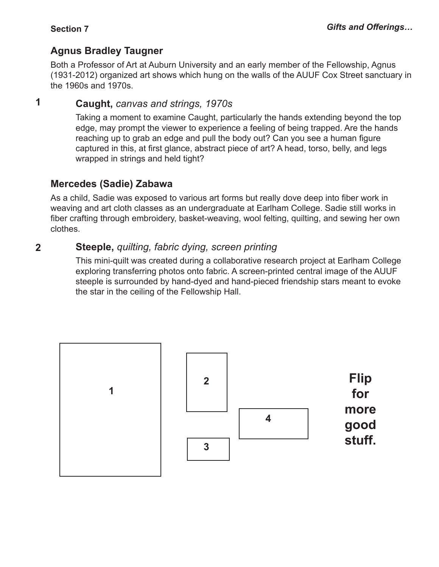### **Agnus Bradley Taugner**

Both a Professor of Art at Auburn University and an early member of the Fellowship, Agnus (1931-2012) organized art shows which hung on the walls of the AUUF Cox Street sanctuary in the 1960s and 1970s.

#### **Caught,** *canvas and strings, 1970s* **1**

Taking a moment to examine Caught, particularly the hands extending beyond the top edge, may prompt the viewer to experience a feeling of being trapped. Are the hands reaching up to grab an edge and pull the body out? Can you see a human figure captured in this, at first glance, abstract piece of art? A head, torso, belly, and legs wrapped in strings and held tight?

### **Mercedes (Sadie) Zabawa**

As a child, Sadie was exposed to various art forms but really dove deep into fiber work in weaving and art cloth classes as an undergraduate at Earlham College. Sadie still works in fiber crafting through embroidery, basket-weaving, wool felting, quilting, and sewing her own clothes.

#### **Steeple,** *quilting, fabric dying, screen printing* **2**

This mini-quilt was created during a collaborative research project at Earlham College exploring transferring photos onto fabric. A screen-printed central image of the AUUF steeple is surrounded by hand-dyed and hand-pieced friendship stars meant to evoke the star in the ceiling of the Fellowship Hall.

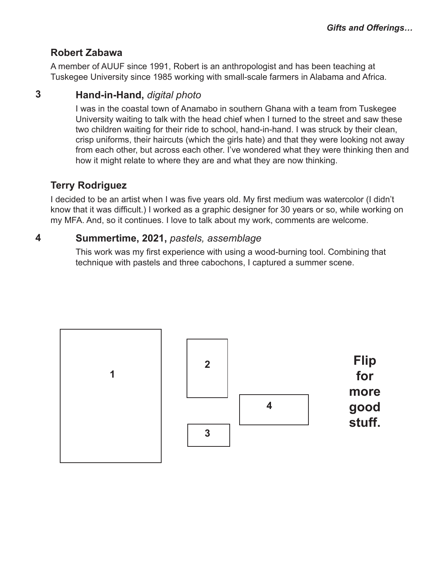### **Robert Zabawa**

A member of AUUF since 1991, Robert is an anthropologist and has been teaching at Tuskegee University since 1985 working with small-scale farmers in Alabama and Africa.

#### **Hand-in-Hand,** *digital photo* **3**

I was in the coastal town of Anamabo in southern Ghana with a team from Tuskegee University waiting to talk with the head chief when I turned to the street and saw these two children waiting for their ride to school, hand-in-hand. I was struck by their clean, crisp uniforms, their haircuts (which the girls hate) and that they were looking not away from each other, but across each other. I've wondered what they were thinking then and how it might relate to where they are and what they are now thinking.

### **Terry Rodriguez**

I decided to be an artist when I was five years old. My first medium was watercolor (I didn't know that it was difficult.) I worked as a graphic designer for 30 years or so, while working on my MFA. And, so it continues. I love to talk about my work, comments are welcome.

#### **Summertime, 2021,** *pastels, assemblage* **4**

This work was my first experience with using a wood-burning tool. Combining that technique with pastels and three cabochons, I captured a summer scene.

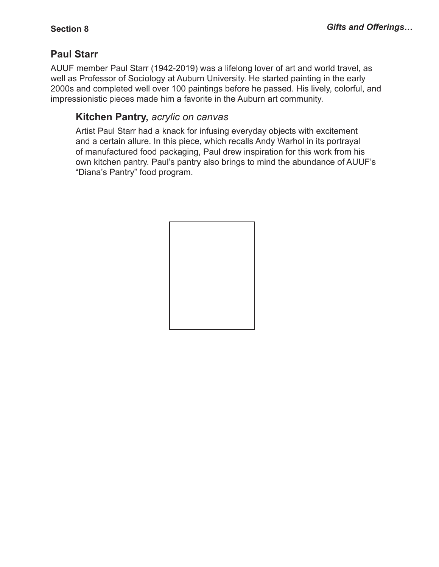### **Paul Starr**

AUUF member Paul Starr (1942-2019) was a lifelong lover of art and world travel, as well as Professor of Sociology at Auburn University. He started painting in the early 2000s and completed well over 100 paintings before he passed. His lively, colorful, and impressionistic pieces made him a favorite in the Auburn art community.

### **Kitchen Pantry,** *acrylic on canvas*

Artist Paul Starr had a knack for infusing everyday objects with excitement and a certain allure. In this piece, which recalls Andy Warhol in its portrayal of manufactured food packaging, Paul drew inspiration for this work from his own kitchen pantry. Paul's pantry also brings to mind the abundance of AUUF's "Diana's Pantry" food program.

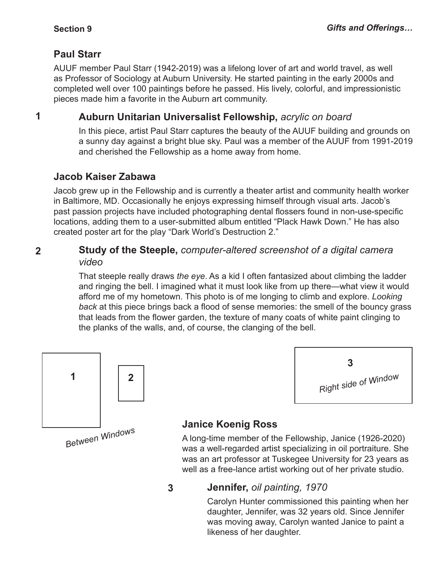### **Paul Starr**

AUUF member Paul Starr (1942-2019) was a lifelong lover of art and world travel, as well as Professor of Sociology at Auburn University. He started painting in the early 2000s and completed well over 100 paintings before he passed. His lively, colorful, and impressionistic pieces made him a favorite in the Auburn art community.

**1**

### **Auburn Unitarian Universalist Fellowship,** *acrylic on board*

In this piece, artist Paul Starr captures the beauty of the AUUF building and grounds on a sunny day against a bright blue sky. Paul was a member of the AUUF from 1991-2019 and cherished the Fellowship as a home away from home.

### **Jacob Kaiser Zabawa**

Jacob grew up in the Fellowship and is currently a theater artist and community health worker in Baltimore, MD. Occasionally he enjoys expressing himself through visual arts. Jacob's past passion projects have included photographing dental flossers found in non-use-specific locations, adding them to a user-submitted album entitled "Plack Hawk Down." He has also created poster art for the play "Dark World's Destruction 2."

### **Study of the Steeple,** *computer-altered screenshot of a digital camera video*  **2**

That steeple really draws *the eye*. As a kid I often fantasized about climbing the ladder and ringing the bell. I imagined what it must look like from up there—what view it would afford me of my hometown. This photo is of me longing to climb and explore. *Looking back* at this piece brings back a flood of sense memories: the smell of the bouncy grass that leads from the flower garden, the texture of many coats of white paint clinging to the planks of the walls, and, of course, the clanging of the bell.



# **3** *Right side of Window*

## **Janice Koenig Ross**

A long-time member of the Fellowship, Janice (1926-2020) was a well-regarded artist specializing in oil portraiture. She was an art professor at Tuskegee University for 23 years as well as a free-lance artist working out of her private studio.

#### **Jennifer,** *oil painting, 1970* **3**

Carolyn Hunter commissioned this painting when her daughter, Jennifer, was 32 years old. Since Jennifer was moving away, Carolyn wanted Janice to paint a likeness of her daughter.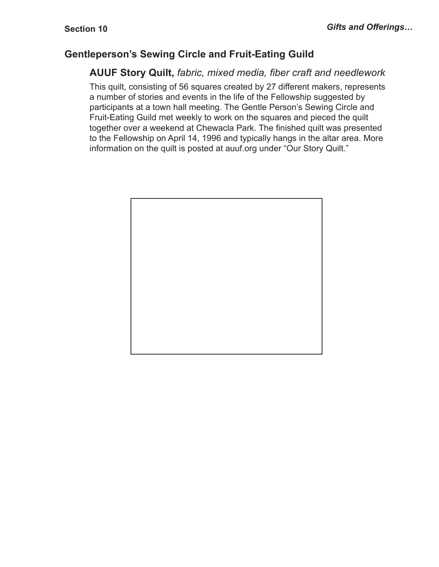### **Gentleperson's Sewing Circle and Fruit-Eating Guild**

### **AUUF Story Quilt,** *fabric, mixed media, fiber craft and needlework*

This quilt, consisting of 56 squares created by 27 different makers, represents a number of stories and events in the life of the Fellowship suggested by participants at a town hall meeting. The Gentle Person's Sewing Circle and Fruit-Eating Guild met weekly to work on the squares and pieced the quilt together over a weekend at Chewacla Park. The finished quilt was presented to the Fellowship on April 14, 1996 and typically hangs in the altar area. More information on the quilt is posted at auuf.org under "Our Story Quilt."

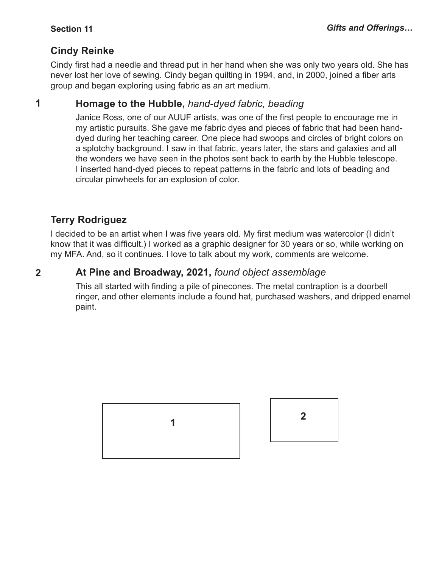### **Cindy Reinke**

Cindy first had a needle and thread put in her hand when she was only two years old. She has never lost her love of sewing. Cindy began quilting in 1994, and, in 2000, joined a fiber arts group and began exploring using fabric as an art medium.

#### **Homage to the Hubble,** *hand-dyed fabric, beading* **1**

Janice Ross, one of our AUUF artists, was one of the first people to encourage me in my artistic pursuits. She gave me fabric dyes and pieces of fabric that had been handdyed during her teaching career. One piece had swoops and circles of bright colors on a splotchy background. I saw in that fabric, years later, the stars and galaxies and all the wonders we have seen in the photos sent back to earth by the Hubble telescope. I inserted hand-dyed pieces to repeat patterns in the fabric and lots of beading and circular pinwheels for an explosion of color.

### **Terry Rodriguez**

I decided to be an artist when I was five years old. My first medium was watercolor (I didn't know that it was difficult.) I worked as a graphic designer for 30 years or so, while working on my MFA. And, so it continues. I love to talk about my work, comments are welcome.

#### **At Pine and Broadway, 2021,** *found object assemblage* **2**

This all started with finding a pile of pinecones. The metal contraption is a doorbell ringer, and other elements include a found hat, purchased washers, and dripped enamel paint.

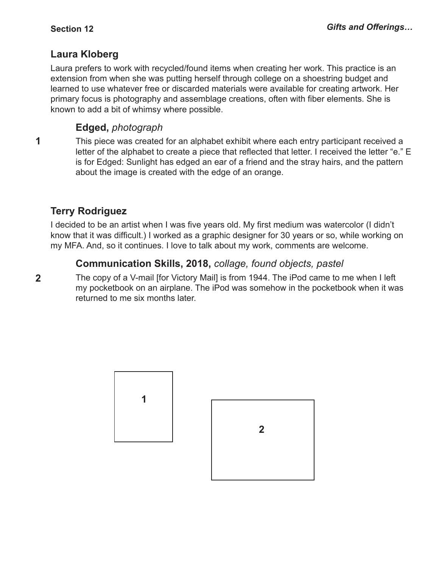### **Laura Kloberg**

Laura prefers to work with recycled/found items when creating her work. This practice is an extension from when she was putting herself through college on a shoestring budget and learned to use whatever free or discarded materials were available for creating artwork. Her primary focus is photography and assemblage creations, often with fiber elements. She is known to add a bit of whimsy where possible.

### **Edged,** *photograph*

This piece was created for an alphabet exhibit where each entry participant received a letter of the alphabet to create a piece that reflected that letter. I received the letter "e." E is for Edged: Sunlight has edged an ear of a friend and the stray hairs, and the pattern about the image is created with the edge of an orange. **1**

### **Terry Rodriguez**

**2**

I decided to be an artist when I was five years old. My first medium was watercolor (I didn't know that it was difficult.) I worked as a graphic designer for 30 years or so, while working on my MFA. And, so it continues. I love to talk about my work, comments are welcome.

### **Communication Skills, 2018,** *collage, found objects, pastel*

The copy of a V-mail [for Victory Mail] is from 1944. The iPod came to me when I left my pocketbook on an airplane. The iPod was somehow in the pocketbook when it was returned to me six months later.

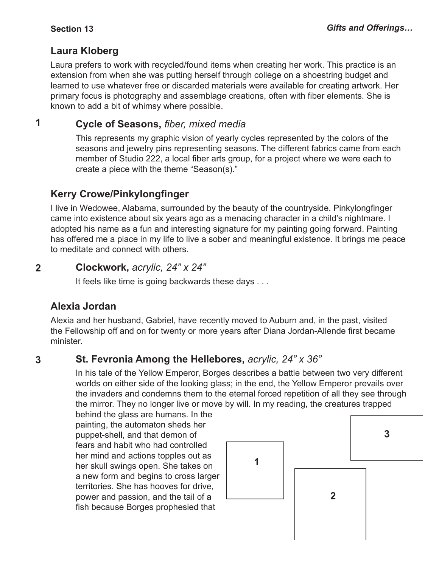### **Laura Kloberg**

Laura prefers to work with recycled/found items when creating her work. This practice is an extension from when she was putting herself through college on a shoestring budget and learned to use whatever free or discarded materials were available for creating artwork. Her primary focus is photography and assemblage creations, often with fiber elements. She is known to add a bit of whimsy where possible.

#### **Cycle of Seasons,** *fiber, mixed media* **1**

This represents my graphic vision of yearly cycles represented by the colors of the seasons and jewelry pins representing seasons. The different fabrics came from each member of Studio 222, a local fiber arts group, for a project where we were each to create a piece with the theme "Season(s)."

### **Kerry Crowe/Pinkylongfinger**

I live in Wedowee, Alabama, surrounded by the beauty of the countryside. Pinkylongfinger came into existence about six years ago as a menacing character in a child's nightmare. I adopted his name as a fun and interesting signature for my painting going forward. Painting has offered me a place in my life to live a sober and meaningful existence. It brings me peace to meditate and connect with others.

#### **Clockwork,** *acrylic, 24" x 24"* **2**

It feels like time is going backwards these days . . .

### **Alexia Jordan**

Alexia and her husband, Gabriel, have recently moved to Auburn and, in the past, visited the Fellowship off and on for twenty or more years after Diana Jordan-Allende first became minister.

#### **St. Fevronia Among the Hellebores,** *acrylic, 24" x 36"* **3**

In his tale of the Yellow Emperor, Borges describes a battle between two very different worlds on either side of the looking glass; in the end, the Yellow Emperor prevails over the invaders and condemns them to the eternal forced repetition of all they see through the mirror. They no longer live or move by will. In my reading, the creatures trapped

behind the glass are humans. In the painting, the automaton sheds her puppet-shell, and that demon of fears and habit who had controlled her mind and actions topples out as her skull swings open. She takes on a new form and begins to cross larger territories. She has hooves for drive, power and passion, and the tail of a fish because Borges prophesied that